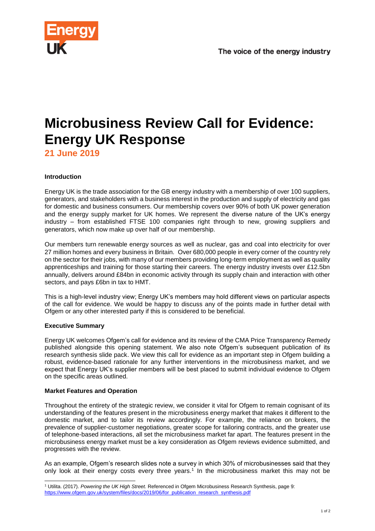

# **Microbusiness Review Call for Evidence: Energy UK Response**

**21 June 2019**

# **Introduction**

Energy UK is the trade association for the GB energy industry with a membership of over 100 suppliers, generators, and stakeholders with a business interest in the production and supply of electricity and gas for domestic and business consumers. Our membership covers over 90% of both UK power generation and the energy supply market for UK homes. We represent the diverse nature of the UK's energy industry – from established FTSE 100 companies right through to new, growing suppliers and generators, which now make up over half of our membership.

Our members turn renewable energy sources as well as nuclear, gas and coal into electricity for over 27 million homes and every business in Britain. Over 680,000 people in every corner of the country rely on the sector for their jobs, with many of our members providing long-term employment as well as quality apprenticeships and training for those starting their careers. The energy industry invests over £12.5bn annually, delivers around £84bn in economic activity through its supply chain and interaction with other sectors, and pays £6bn in tax to HMT.

This is a high-level industry view; Energy UK's members may hold different views on particular aspects of the call for evidence. We would be happy to discuss any of the points made in further detail with Ofgem or any other interested party if this is considered to be beneficial.

# **Executive Summary**

Energy UK welcomes Ofgem's call for evidence and its review of the CMA Price Transparency Remedy published alongside this opening statement. We also note Ofgem's subsequent publication of its research synthesis slide pack. We view this call for evidence as an important step in Ofgem building a robust, evidence-based rationale for any further interventions in the microbusiness market, and we expect that Energy UK's supplier members will be best placed to submit individual evidence to Ofgem on the specific areas outlined.

# **Market Features and Operation**

Throughout the entirety of the strategic review, we consider it vital for Ofgem to remain cognisant of its understanding of the features present in the microbusiness energy market that makes it different to the domestic market, and to tailor its review accordingly. For example, the reliance on brokers, the prevalence of supplier-customer negotiations, greater scope for tailoring contracts, and the greater use of telephone-based interactions, all set the microbusiness market far apart. The features present in the microbusiness energy market must be a key consideration as Ofgem reviews evidence submitted, and progresses with the review.

As an example, Ofgem's research slides note a survey in which 30% of microbusinesses said that they only look at their energy costs every three years.<sup>1</sup> In the microbusiness market this may not be

l <sup>1</sup> Utilita. (2017). *Powering the UK High Street.* Referenced in Ofgem Microbusiness Research Synthesis, page 9: [https://www.ofgem.gov.uk/system/files/docs/2019/06/for\\_publication\\_research\\_synthesis.pdf](https://www.ofgem.gov.uk/system/files/docs/2019/06/for_publication_research_synthesis.pdf)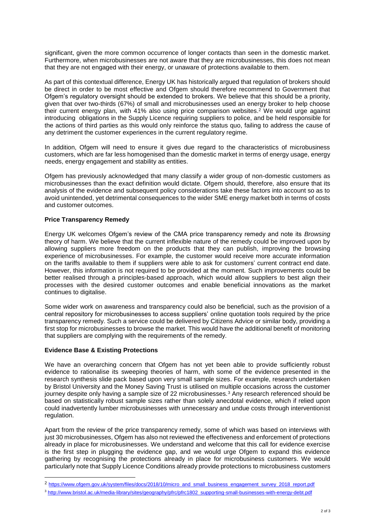significant, given the more common occurrence of longer contacts than seen in the domestic market. Furthermore, when microbusinesses are not aware that they are microbusinesses, this does not mean that they are not engaged with their energy, or unaware of protections available to them.

As part of this contextual difference, Energy UK has historically argued that regulation of brokers should be direct in order to be most effective and Ofgem should therefore recommend to Government that Ofgem's regulatory oversight should be extended to brokers. We believe that this should be a priority, given that over two-thirds (67%) of small and microbusinesses used an energy broker to help choose their current energy plan, with 41% also using price comparison websites. <sup>2</sup> We would urge against introducing obligations in the Supply Licence requiring suppliers to police, and be held responsible for the actions of third parties as this would only reinforce the status quo, failing to address the cause of any detriment the customer experiences in the current regulatory regime.

In addition, Ofgem will need to ensure it gives due regard to the characteristics of microbusiness customers, which are far less homogenised than the domestic market in terms of energy usage, energy needs, energy engagement and stability as entities.

Ofgem has previously acknowledged that many classify a wider group of non-domestic customers as microbusinesses than the exact definition would dictate. Ofgem should, therefore, also ensure that its analysis of the evidence and subsequent policy considerations take these factors into account so as to avoid unintended, yet detrimental consequences to the wider SME energy market both in terms of costs and customer outcomes.

#### **Price Transparency Remedy**

Energy UK welcomes Ofgem's review of the CMA price transparency remedy and note its *Browsing*  theory of harm. We believe that the current inflexible nature of the remedy could be improved upon by allowing suppliers more freedom on the products that they can publish, improving the browsing experience of microbusinesses. For example, the customer would receive more accurate information on the tariffs available to them if suppliers were able to ask for customers' current contract end date. However, this information is not required to be provided at the moment. Such improvements could be better realised through a principles-based approach, which would allow suppliers to best align their processes with the desired customer outcomes and enable beneficial innovations as the market continues to digitalise.

Some wider work on awareness and transparency could also be beneficial, such as the provision of a central repository for microbusinesses to access suppliers' online quotation tools required by the price transparency remedy. Such a service could be delivered by Citizens Advice or similar body, providing a first stop for microbusinesses to browse the market. This would have the additional benefit of monitoring that suppliers are complying with the requirements of the remedy.

#### **Evidence Base & Existing Protections**

l

We have an overarching concern that Ofgem has not yet been able to provide sufficiently robust evidence to rationalise its sweeping theories of harm, with some of the evidence presented in the research synthesis slide pack based upon very small sample sizes. For example, research undertaken by Bristol University and the Money Saving Trust is utilised on multiple occasions across the customer journey despite only having a sample size of 22 microbusinesses.<sup>3</sup> Any research referenced should be based on statistically robust sample sizes rather than solely anecdotal evidence, which if relied upon could inadvertently lumber microbusinesses with unnecessary and undue costs through interventionist regulation.

Apart from the review of the price transparency remedy, some of which was based on interviews with just 30 microbusinesses, Ofgem has also not reviewed the effectiveness and enforcement of protections already in place for microbusinesses. We understand and welcome that this call for evidence exercise is the first step in plugging the evidence gap, and we would urge Ofgem to expand this evidence gathering by recognising the protections already in place for microbusiness customers. We would particularly note that Supply Licence Conditions already provide protections to microbusiness customers

<sup>2</sup> [https://www.ofgem.gov.uk/system/files/docs/2018/10/micro\\_and\\_small\\_business\\_engagement\\_survey\\_2018\\_report.pdf](https://www.ofgem.gov.uk/system/files/docs/2018/10/micro_and_small_business_engagement_survey_2018_report.pdf)

<sup>3</sup> [http://www.bristol.ac.uk/media-library/sites/geography/pfrc/pfrc1802\\_supporting-small-businesses-with-energy-debt.pdf](http://www.bristol.ac.uk/media-library/sites/geography/pfrc/pfrc1802_supporting-small-businesses-with-energy-debt.pdf)